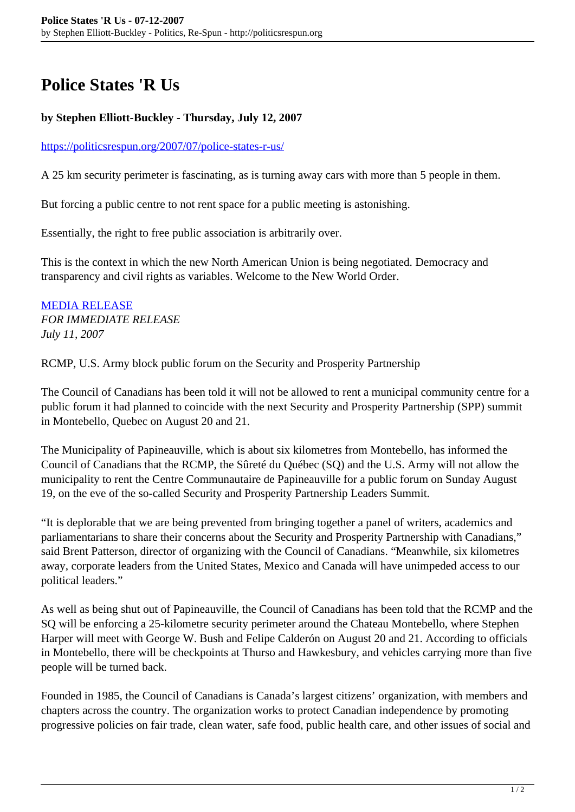## **Police States 'R Us**

## **by Stephen Elliott-Buckley - Thursday, July 12, 2007**

## <https://politicsrespun.org/2007/07/police-states-r-us/>

A 25 km security perimeter is fascinating, as is turning away cars with more than 5 people in them.

But forcing a public centre to not rent space for a public meeting is astonishing.

Essentially, the right to free public association is arbitrarily over.

This is the context in which the new North American Union is being negotiated. Democracy and transparency and civil rights as variables. Welcome to the New World Order.

[MEDIA RELEASE](http://canadians.org/media/DI/2007/11-July-07.html) *FOR IMMEDIATE RELEASE July 11, 2007*

RCMP, U.S. Army block public forum on the Security and Prosperity Partnership

The Council of Canadians has been told it will not be allowed to rent a municipal community centre for a public forum it had planned to coincide with the next Security and Prosperity Partnership (SPP) summit in Montebello, Quebec on August 20 and 21.

The Municipality of Papineauville, which is about six kilometres from Montebello, has informed the Council of Canadians that the RCMP, the Sûreté du Québec (SQ) and the U.S. Army will not allow the municipality to rent the Centre Communautaire de Papineauville for a public forum on Sunday August 19, on the eve of the so-called Security and Prosperity Partnership Leaders Summit.

"It is deplorable that we are being prevented from bringing together a panel of writers, academics and parliamentarians to share their concerns about the Security and Prosperity Partnership with Canadians," said Brent Patterson, director of organizing with the Council of Canadians. "Meanwhile, six kilometres away, corporate leaders from the United States, Mexico and Canada will have unimpeded access to our political leaders."

As well as being shut out of Papineauville, the Council of Canadians has been told that the RCMP and the SQ will be enforcing a 25-kilometre security perimeter around the Chateau Montebello, where Stephen Harper will meet with George W. Bush and Felipe Calderón on August 20 and 21. According to officials in Montebello, there will be checkpoints at Thurso and Hawkesbury, and vehicles carrying more than five people will be turned back.

Founded in 1985, the Council of Canadians is Canada's largest citizens' organization, with members and chapters across the country. The organization works to protect Canadian independence by promoting progressive policies on fair trade, clean water, safe food, public health care, and other issues of social and